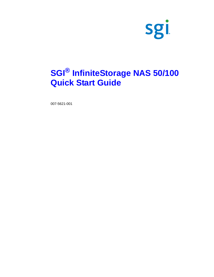

# **SGI® InfiniteStorage NAS 50/100 Quick Start Guide**

007-5621-001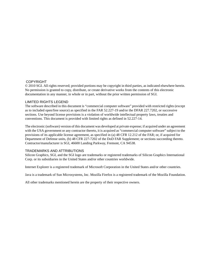### COPYRIGHT

© 2010 SGI. All rights reserved; provided portions may be copyright in third parties, as indicated elsewhere herein. No permission is granted to copy, distribute, or create derivative works from the contents of this electronic documentation in any manner, in whole or in part, without the prior written permission of SGI.

### LIMITED RIGHTS LEGEND

The software described in this document is "commercial computer software" provided with restricted rights (except as to included open/free source) as specified in the FAR 52.227-19 and/or the DFAR 227.7202, or successive sections. Use beyond license provisions is a violation of worldwide intellectual property laws, treaties and conventions. This document is provided with limited rights as defined in 52.227-14.

The electronic (software) version of this document was developed at private expense; if acquired under an agreement with the USA government or any contractor thereto, it is acquired as "commercial computer software" subject to the provisions of its applicable license agreement, as specified in (a) 48 CFR 12.212 of the FAR; or, if acquired for Department of Defense units, (b) 48 CFR 227-7202 of the DoD FAR Supplement; or sections succeeding thereto. Contractor/manufacturer is SGI, 46600 Landing Parkway, Fremont, CA 94538.

## TRADEMARKS AND ATTRIBUTIONS

Silicon Graphics, SGI, and the SGI logo are trademarks or registered trademarks of Silicon Graphics International Corp. or its subsidiaries in the United States and/or other countries worldwide.

Internet Explorer is a registered trademark of Microsoft Corporation in the United States and/or other countries.

Java is a trademark of Sun Microsystems, Inc. Mozilla Firefox is a registered trademark of the Mozilla Foundation.

All other trademarks mentioned herein are the property of their respective owners.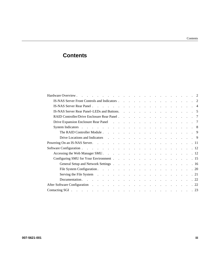# **Contents**

| Hardware Overview.                                                                                                                                                                                                             |  |  |  |  |  |  |            |
|--------------------------------------------------------------------------------------------------------------------------------------------------------------------------------------------------------------------------------|--|--|--|--|--|--|------------|
| IS-NAS Server Front Controls and Indicators                                                                                                                                                                                    |  |  |  |  |  |  | $\cdot$ 2  |
|                                                                                                                                                                                                                                |  |  |  |  |  |  | $\cdot$ 4  |
| IS-NAS Server Rear Panel–LEDs and Buttons. 5                                                                                                                                                                                   |  |  |  |  |  |  |            |
|                                                                                                                                                                                                                                |  |  |  |  |  |  | . 7        |
|                                                                                                                                                                                                                                |  |  |  |  |  |  | $\cdot$ 7  |
| System Indicators et al., and a series of the series of the series of the series of the series of the series of the series of the series of the series of the series of the series of the series of the series of the series o |  |  |  |  |  |  | . 8        |
| The RAID Controller Module $\ldots$ $\ldots$ $\ldots$ $\ldots$ $\ldots$ $\ldots$ $\ldots$ $\ldots$                                                                                                                             |  |  |  |  |  |  | . 9        |
| Drive Locations and Indicators and Indicators and Theorem 2014, the contract of the contract of the contract of the contract of the contract of the contract of the contract of the contract of the contract of the contract o |  |  |  |  |  |  | . 9        |
|                                                                                                                                                                                                                                |  |  |  |  |  |  | . 11       |
|                                                                                                                                                                                                                                |  |  |  |  |  |  | . 12       |
| Accessing the Web Manager SMU.                                                                                                                                                                                                 |  |  |  |  |  |  | .12        |
|                                                                                                                                                                                                                                |  |  |  |  |  |  | . 15       |
|                                                                                                                                                                                                                                |  |  |  |  |  |  | . 16       |
|                                                                                                                                                                                                                                |  |  |  |  |  |  | $\cdot$ 20 |
| Serving the File System $\cdots$ $\cdots$ $\cdots$ $\cdots$ $\cdots$ $\cdots$ $\cdots$ $\cdots$                                                                                                                                |  |  |  |  |  |  | .21        |
| Documentation.<br>the contract of the contract of the contract of the contract of the contract of                                                                                                                              |  |  |  |  |  |  | .22        |
|                                                                                                                                                                                                                                |  |  |  |  |  |  | .22        |
|                                                                                                                                                                                                                                |  |  |  |  |  |  | . 23       |
|                                                                                                                                                                                                                                |  |  |  |  |  |  |            |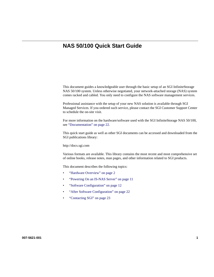## **NAS 50/100 Quick Start Guide**

This document guides a knowledgeable user through the basic setup of an SGI InfiniteStorage NAS 50/100 system. Unless otherwise negotiated, your network-attached storage (NAS) system comes racked and cabled. You only need to configure the NAS software management services.

Professional assistance with the setup of your new NAS solution is available through SGI Managed Services. If you ordered such service, please contact the SGI Customer Support Center to schedule the on-site visit.

For more information on the hardware/software used with the SGI InfiniteStorage NAS 50/100, see "Documentation" on page 22.

This quick start guide as well as other SGI documents can be accessed and downloaded from the SGI publications library:

http://docs.sgi.com

Various formats are available. This library contains the most recent and most comprehensive set of online books, release notes, man pages, and other information related to SGI products.

This document describes the following topics:

- "Hardware Overview" on page 2
- "Powering On an IS-NAS Server" on page 11
- "Software Configuration" on page 12
- "After Software Configuration" on page 22
- "Contacting SGI" on page 23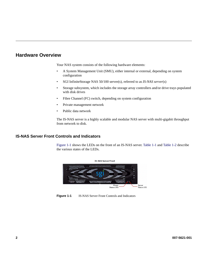## **Hardware Overview**

Your NAS system consists of the following hardware elements:

- A System Management Unit (SMU), either internal or external, depending on system configuration
- SGI InfiniteStorage NAS 50/100 server(s), referred to as *IS-NAS server*(s)
- Storage subsystem, which includes the storage array controllers and/or drive trays populated with disk drives
- Fibre Channel (FC) switch, depending on system configuration
- Private management network
- Public data network

The IS-NAS server is a highly scalable and modular NAS server with multi-gigabit throughput from network to disk.

## **IS-NAS Server Front Controls and Indicators**

Figure 1-1 shows the LEDs on the front of an IS-NAS server. Table 1-1 and Table 1-2 describe the various states of the LEDs.



**Figure 1-1** IS-NAS Server Front Controls and Indicators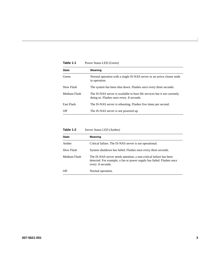| <b>State</b> | <b>Meaning</b>                                                                                                         |
|--------------|------------------------------------------------------------------------------------------------------------------------|
| Green        | Normal operation with a single IS-NAS server or an active cluster node<br>in operation.                                |
| Slow Flash   | The system has been shut down. Flashes once every three seconds.                                                       |
| Medium Flash | The IS-NAS server is available to host file services but it not currently<br>doing so. Flashes once every 0.8 seconds. |
| Fast Flash   | The IS-NAS server is rebooting. Flashes five times per second.                                                         |
| Off          | The IS-NAS server is not powered up.                                                                                   |

Table 1-1 Power Status LED (Green)

## Table 1-2 Server Status LED (Amber)

| <b>State</b> | Meaning                                                                                                                                                          |
|--------------|------------------------------------------------------------------------------------------------------------------------------------------------------------------|
| Amber        | Critical failure. The IS-NAS server is not operational.                                                                                                          |
| Slow Flash   | System shutdown has failed. Flashes once every three seconds.                                                                                                    |
| Medium Flash | The IS-NAS server needs attention; a non-critical failure has been<br>detected. For example, a fan or power supply has failed. Flashes once<br>every .8 seconds. |
| Off          | Normal operation.                                                                                                                                                |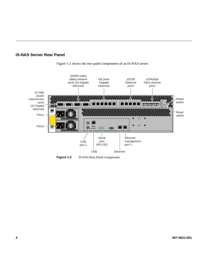





**Figure 1-2** IS-NAS Rear Panel Components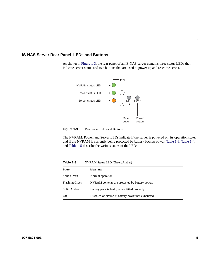## **IS-NAS Server Rear Panel–LEDs and Buttons**

As shown in Figure 1-3, the rear panel of an IS-NAS server contains three status LEDs that indicate server status and two buttons that are used to power up and reset the server.





The NVRAM, Power, and Server LEDs indicate if the server is powered on, its operation state, and if the NVRAM is currently being protected by battery backup power. Table 1-3, Table 1-4, and Table 1-5 describe the various states of the LEDs.

**Table 1-3** NVRAM Status LED (Green/Amber)

| <b>State</b>          | Meaning                                        |
|-----------------------|------------------------------------------------|
|                       |                                                |
| Solid Green           | Normal operation.                              |
| <b>Flashing Green</b> | NVRAM contents are protected by battery power. |
| Solid Amber           | Battery pack is faulty or not fitted properly. |
| Off                   | Disabled or NVRAM battery power has exhausted. |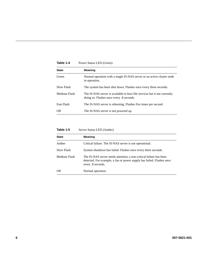| Table 1-4         | Power Status LED (Green)                                                                                               |
|-------------------|------------------------------------------------------------------------------------------------------------------------|
| <b>State</b>      | <b>Meaning</b>                                                                                                         |
| Green             | Normal operation with a single IS-NAS server or an active cluster node<br>in operation.                                |
| Slow Flash        | The system has been shut down. Flashes once every three seconds.                                                       |
| Medium Flash      | The IS-NAS server is available to host file services but it not currently<br>doing so. Flashes once every 0.8 seconds. |
| <b>Fast Flash</b> | The IS-NAS server is rebooting. Flashes five times per second.                                                         |
| Off               | The IS-NAS server is not powered up.                                                                                   |

## Table 1-5 Server Status LED (Amber)

| <b>State</b> | <b>Meaning</b>                                                                                                                                                   |
|--------------|------------------------------------------------------------------------------------------------------------------------------------------------------------------|
| Amber        | Critical failure. The IS-NAS server is not operational.                                                                                                          |
| Slow Flash   | System shutdown has failed. Flashes once every three seconds.                                                                                                    |
| Medium Flash | The IS-NAS server needs attention; a non-critical failure has been<br>detected. For example, a fan or power supply has failed. Flashes once<br>every .8 seconds. |
| Off          | Normal operation.                                                                                                                                                |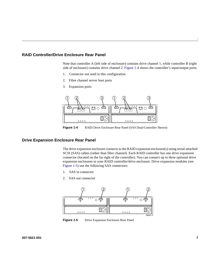## **RAID Controller/Drive Enclosure Rear Panel**

Note that controller A (left side of enclosure) contains drive channel 1, while controller B (right side of enclosure) contains drive channel 2. Figure 1-4 shows the controller's input/output ports.

- 1. Connector not used in this configuration
- 2. Fibre channel server host ports
- 3. Expansion ports



**Figure 1-4** RAID Drive Enclosure Rear Panel (SAS Dual-Controller Shown)

## **Drive Expansion Enclosure Rear Panel**

The drive expansion enclosure connects to the RAID expansion enclosure(s) using serial-attached SCSI (SAS) cables (rather than fibre channel). Each RAID controller has one drive expansion connector (located on the far right of the controller). You can connect up to three optional drive expansion enclosures to your RAID controller/drive enclosure. Drive expansion modules (see Figure 1-5) use the following SAS connectors:

- 1. SAS in connector
- 2. SAS out connector



**Figure 1-5** Drive Expansion Enclosure Rear Panel

**007-5621-001 7**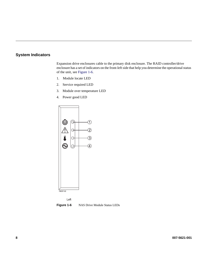## **System Indicators**

Expansion drive enclosures cable to the primary disk enclosure. The RAID controller/drive enclosure has a set of indicators on the front-left side that help you determine the operational status of the unit, see Figure 1-6.

- 1. Module locate LED
- 2. Service required LED
- 3. Module over temperature LED
- 4. Power good LED





**Figure 1-6** NAS Drive Module Status LEDs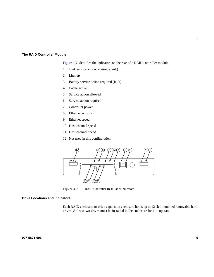#### **The RAID Controller Module**

Figure 1-7 identifies the indicators on the rear of a RAID controller module.

- 1. Link service action required (fault)
- 2. Link up
- 3. Battery service action required (fault)
- 4. Cache active
- 5. Service action allowed
- 6. Service action required
- 7. Controller power
- 8. Ethernet activity
- 9. Ethernet speed
- 10. Host channel speed
- 11. Host channel speed
- 12. Not used in this configuration



**Figure 1-7** RAID Controller Rear Panel Indicators

## **Drive Locations and Indicators**

Each RAID enclosure or drive expansion enclosure holds up to 12 sled-mounted removable hard drives. At least two drives must be installed in the enclosure for it to operate.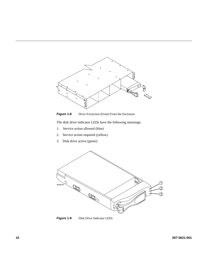

**Figure 1-8** Drive Extraction (Front) From the Enclosure

The disk drive indicator LEDs have the following meanings:

- 1. Service action allowed (blue)
- 2. Service action required (yellow)
- 3. Disk drive active (green)



**Figure 1-9** Disk Drive Indicator LEDs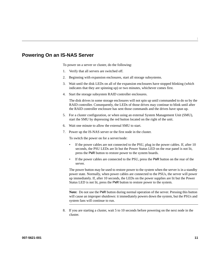## **Powering On an IS-NAS Server**

To power on a server or cluster, do the following:

- 1. Verify that all servers are switched off.
- 2. Beginning with expansion enclosures, start all storage subsystems.
- 3. Wait until the disk LEDs on all of the expansion enclosures have stopped blinking (which indicates that they are spinning up) or two minutes, whichever comes first.
- 4. Start the storage subsystem RAID controller enclosures.

The disk drives in some storage enclosures will not spin up until commanded to do so by the RAID controller. Consequently, the LEDs of those drives may continue to blink until after the RAID controller enclosure has sent those commands and the drives have spun up.

- 5. For a cluster configuration, or when using an external System Management Unit (SMU), start the SMU by depressing the red button located on the right of the unit.
- 6. Wait one minute to allow the external SMU to start.
- 7. Power up the IS-NAS server or the first node in the cluster.

To switch the power on for a server/node:

- If the power cables are not connected to the PSU, plug in the power cables. If, after 10 seconds, the PSU LEDs are lit but the Power Status LED on the rear panel is not lit, press the PWR button to restore power to the system boards.
- If the power cables are connected to the PSU, press the PWR button on the rear of the server.

The power button may be used to restore power to the system when the server is in a standby power state. Normally, when power cables are connected to the PSUs, the server will power up immediately. If, after 10 seconds, the LEDs on the power supplies are lit but the Power Status LED is not lit, press the PWR button to restore power to the system.

**Note:** Do not use the PWR button during normal operation of the server. Pressing this button will cause an improper shutdown: it immediately powers down the system, but the PSUs and system fans will continue to run.

8. If you are starting a cluster, wait 5 to 10 seconds before powering on the next node in the cluster.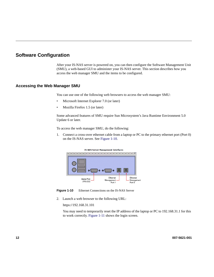## **Software Configuration**

After your IS-NAS server is powered on, you can then configure the Software Management Unit (SMU), a web-based GUI to administer your IS-NAS server. This section describes how you access the web manager SMU and the items to be configured.

## **Accessing the Web Manager SMU**

You can use one of the following web browsers to access the web manager SMU:

- Microsoft Internet Explorer 7.0 (or later)
- Mozilla Firefox 1.5 (or later)

Some advanced features of SMU require Sun Microsystem's Java Runtime Environment 5.0 Update 6 or later.

To access the web manager SMU, do the following:

1. Connect a cross-over ethernet cable from a laptop or PC to the primary ethernet port (Port 0) on the IS-NAS server. See Figure 1-10.



**Figure 1-10** Ethernet Connections on the IS-NAS Server

2. Launch a web browser to the following URL:

https://192.168.31.101

You may need to temporarily reset the IP address of the laptop or PC to 192.168.31.1 for this to work correctly. Figure 1-11 shows the login screen.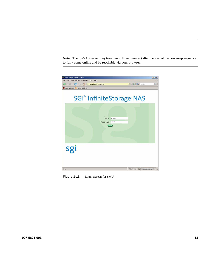**Note:** The IS-NAS server may take two to three minutes (after the start of the power-up sequence) to fully come online and be reachable via your browser.



**Figure 1-11** Login Screen for SMU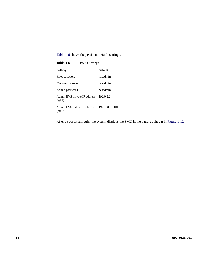Table 1-6 shows the pertinent default settings.

| Table 1-6<br><b>Default Settings</b>   |                |
|----------------------------------------|----------------|
| <b>Setting</b>                         | <b>Default</b> |
| Root password                          | nasadmin       |
| Manager password                       | nasadmin       |
| Admin password                         | nasadmin       |
| Admin EVS private IP address<br>(eth1) | 192.0.2.2      |
| Admin EVS public IP address<br>(eth0)  | 192.168.31.101 |

After a successful login, the system displays the SMU home page, as shown in Figure 1-12.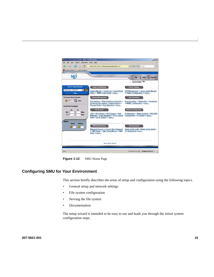

**Figure 1-12** SMU Home Page

## **Configuring SMU for Your Environment**

This section briefly describes the areas of setup and configuration using the following topics.

- General setup and network settings
- File system configuration
- Serving the file system
- **Documentation**

The setup wizard is intended to be easy to use and leads you through the initial system configuration steps.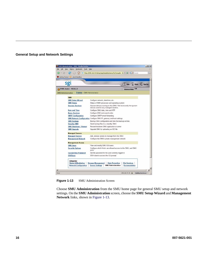

#### **General Setup and Network Settings**

**Figure 1-13** SMU Administration Screen

Choose **SMU Administration** from the SMU home page for general SMU setup and network settings. On the **SMU Administration** screen, choose the **SMU Setup Wizard** and **Management Network** links, shown in Figure 1-13.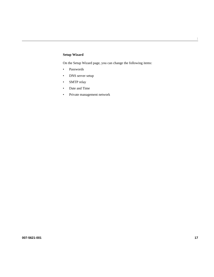## **Setup Wizard**

On the Setup Wizard page, you can change the following items:

- Passwords
- DNS server setup
- SMTP relay
- Date and Time
- Private management network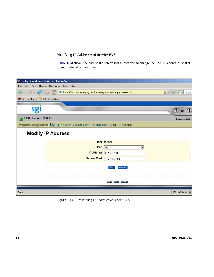## **Modifying IP Addresses of Service EVS**

Figure 1-14 shows the path to the screen that allows you to change the EVS IP addresses to that of your network enviornment.



**Figure 1-14** Modifying IP Addresses of Service EVS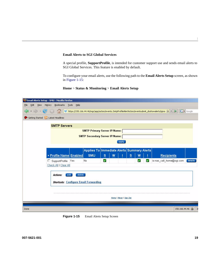#### **Email Alerts to SGI Global Services**

A special profile, **SupportProfile**, is intended for customer support use and sends email alerts to SGI Global Services. This feature is enabled by default.

To configure your email alerts, use the following path to the **Email Alerts Setup** screen, as shown in Figure 1-15:

### **Home** > **Status & Monitoring** > **Email Alerts Setup**

| Email Alerts Setup - SMU - Mozilla Firefox                                                                                                               |
|----------------------------------------------------------------------------------------------------------------------------------------------------------|
| Edit<br>Bookmarks<br>Tools<br>Help<br>View<br>History<br>Eile                                                                                            |
| $\cdot \Rightarrow \cdot \circ$<br>$ G $ Google<br>Sgi https://150.166.44.46/mgr/app/action/events.5mtpProfileAlertAction/eventsubmit_doshowalerts/ignor |
| Getting Started <b>AL</b> Latest Headlines                                                                                                               |
| <b>SMTP Servers</b>                                                                                                                                      |
| <b>SMTP Primary Server IP/Name:</b>                                                                                                                      |
| <b>SMTP Secondary Server IP/Name:</b>                                                                                                                    |
| apply                                                                                                                                                    |
|                                                                                                                                                          |
| Applies To Immediate Alerts Summary Alerts                                                                                                               |
| <b>SMU</b><br>▼ Profile Name Enabled<br>S<br>$\overline{\mathbf{s}}$<br>W<br>W<br><b>Recipients</b>                                                      |
| □ SupportProfile Yes<br>V<br>is-nas_call_home@sgi.com<br>No<br>details<br>V<br>✔                                                                         |
| Check All   Clear All                                                                                                                                    |
|                                                                                                                                                          |
| delete<br>Actions:<br>add                                                                                                                                |
| <b>Shortcuts: Configure Email Forwarding</b>                                                                                                             |
|                                                                                                                                                          |
|                                                                                                                                                          |
|                                                                                                                                                          |
| Home   About   Sign Out                                                                                                                                  |
|                                                                                                                                                          |
| 150.166.44.46<br>Done                                                                                                                                    |

Figure 1-15 Email Alerts Setup Screen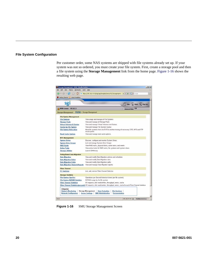### **File System Configuration**

Per customer order, some NAS systems are shipped with file systems already set up. If your system was not so ordered, you must create your file system. First, create a storage pool and then a file system using the **Storage Management** link from the home page. Figure 1-16 shows the resulting web page.

| sgi                                        |                                                                                                                                |                          | ? Help i About ( Sign Out |
|--------------------------------------------|--------------------------------------------------------------------------------------------------------------------------------|--------------------------|---------------------------|
| N100-cluster - 192.0.2.3                   |                                                                                                                                | <b>Advanced Mode: ON</b> |                           |
| <b>Storage Management</b>                  | Home > Storage Management                                                                                                      |                          |                           |
| <b>File System Management</b>              |                                                                                                                                |                          |                           |
| <b>File Systems</b>                        | View usage and manage all File Systems                                                                                         |                          |                           |
| <b>Storage Pools</b>                       | View and manage all Storage Pools                                                                                              |                          |                           |
| <b>Virtual Volumes &amp; Quotas</b>        | View and manage Virtual Volumes and Quotas                                                                                     |                          |                           |
| <b>Quotas by File System</b>               | View and manage File System Quotas                                                                                             |                          |                           |
| <b>File System Relocation</b>              | Move file systems from one EVS to another moving all necessary CIFS, NFS and FTP<br>mount points                               |                          |                           |
| <b>Read Cache Options</b>                  | View and manage read cache options.                                                                                            |                          |                           |
| <b>MTS Management</b>                      |                                                                                                                                |                          |                           |
| <b>System Drives</b>                       | Discover, configure and monitor System Drives                                                                                  |                          |                           |
| <b>System Drive Groups</b>                 | List and manage System Drive Groups                                                                                            |                          |                           |
| <b>RAID Racks</b>                          | View RAID racks, physical disks, active tasks, and events                                                                      |                          |                           |
| <b>Active Tasks</b>                        | View active tasks for RAID racks, file systems and system drives.                                                              |                          |                           |
| <b>Storage Utilities</b>                   | Launch SANtricity                                                                                                              |                          |                           |
| <b>Policy Based Data Migration</b>         |                                                                                                                                |                          |                           |
| <b>Data Migration</b>                      | View and modify Data Migration policies and schedules                                                                          |                          |                           |
| <b>Data Migration Rules</b>                | View and modify Data Migration rules                                                                                           |                          |                           |
| <b>Data Migration Paths</b>                | View and modify Data Migration paths                                                                                           |                          |                           |
| <b>Data Migration Status &amp; Reports</b> | View and manage Data Migration reports                                                                                         |                          |                           |
| <b>Fibre Channel</b>                       |                                                                                                                                |                          |                           |
| <b>FC Switches</b>                         | List, add, remove Fibre Channel Switches                                                                                       |                          |                           |
| <b>Storage Statistics</b>                  |                                                                                                                                |                          |                           |
| <b>File System Ops/Sec</b>                 | Operations per Second historical charts (per file system).                                                                     |                          |                           |
| <b>File System NVRAM Statistics</b>        | NVRAM usage by the file system                                                                                                 |                          |                           |
| <b>Fibre Channel Statistics</b>            | VO requests, disk reads/writes, throughput, errors, cache                                                                      |                          |                           |
|                                            | Fibre Channel Statistics (per port) VO requests, disk reads/writes, throughput, errors, cache for each Fibre Channel interface |                          |                           |

**Figure 1-16** SMU Storage Management Screen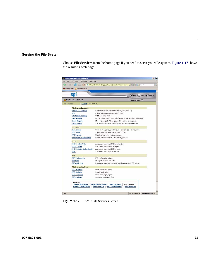## **Serving the File System**

Choose **File Services** from the home page if you need to serve your file system. Figure 1-17 shows the resulting web page.

| $-100.7$<br>C.                                                                |                                                                                                                                                            |
|-------------------------------------------------------------------------------|------------------------------------------------------------------------------------------------------------------------------------------------------------|
| Getting Started <b>by Latest Headlines</b>                                    |                                                                                                                                                            |
| sgi                                                                           |                                                                                                                                                            |
|                                                                               | ? Help i About 4 Sign Out                                                                                                                                  |
| N100-cluster - 192.0.2.3<br>Home > File Services                              | <b>Advanced Mode: ON</b>                                                                                                                                   |
| <b>File Services</b>                                                          |                                                                                                                                                            |
| <b>File Service Protocols</b>                                                 |                                                                                                                                                            |
| <b>Enable File Services</b>                                                   | Enable/Disable File Service Protocols (CIFS, NFS, )                                                                                                        |
| CNS                                                                           | Enable and manage Cluster Name Space                                                                                                                       |
| <b>File System Security</b>                                                   | Set the security mode                                                                                                                                      |
| <b>User Mapping</b>                                                           | Map NFS user names to NT user names (i.e. file permission mappings)                                                                                        |
| <b>Group Mapping</b>                                                          | Map NFS groups to NT groups (i.e. file permission mappings).<br>Add or delete members of local groups (i.e. Backup Operators)                              |
| <b>Local Groups</b>                                                           |                                                                                                                                                            |
| <b>CIFS &amp; NFS</b>                                                         |                                                                                                                                                            |
| <b>CIFS Shares</b>                                                            | Share names, paths, user limits, and Share Access Configuration                                                                                            |
| <b>CIFS Setup</b>                                                             | View and edit the server names seen by CIFS                                                                                                                |
| <b>NFS Exports</b>                                                            | Export names, paths, and permissions                                                                                                                       |
| <b>File System Audit Policies</b>                                             | Enable, disable or modify CIFS auditing policies                                                                                                           |
| <b>iSCSI</b>                                                                  |                                                                                                                                                            |
| <b>ISCSI Logical Units</b>                                                    | Add, delete or modify iSCSI logical units                                                                                                                  |
| <b>ISCSI Targets</b>                                                          | Add, delete or modify iSCSI targets                                                                                                                        |
| <b>ISCSI Initiator Authentication</b>                                         | Add, delete or modify iSCSI Initiators                                                                                                                     |
| <b>ISNS</b>                                                                   | Add, delete or modify iSNS servers                                                                                                                         |
| <b>FTP</b>                                                                    |                                                                                                                                                            |
| <b>FTP Configuration</b>                                                      | FTP configuration options                                                                                                                                  |
| <b>FTP Users</b>                                                              | Manage FTP users and paths.                                                                                                                                |
| <b>FTP Audit Logs</b>                                                         | Destination, size, and number of logs. Logging tracks FTP usage.                                                                                           |
| <b>File Service Statistics</b>                                                |                                                                                                                                                            |
| <b>CIFS Statistics</b>                                                        | Open, close, read, write                                                                                                                                   |
| <b>NFS Statistics</b>                                                         | Create, read, write                                                                                                                                        |
| <b>iSCSI Statistics</b>                                                       | Read, write, login, logout                                                                                                                                 |
| <b>FTP Statistics</b>                                                         | Sessions, commands, files                                                                                                                                  |
| Categories:<br><b>Status &amp; Monitoring</b><br><b>Network Configuration</b> | <b>Storage Management</b><br><b>Data Protection</b><br><b>File Services</b><br><b>SMU Administration</b><br><b>Server Settings</b><br><b>Documentation</b> |

**Figure 1-17** SMU File Services Screen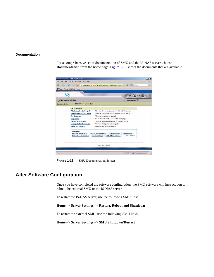#### **Documentation**

For a comprehensive set of documentation of SMU and the IS-NAS server, choose **Documentation** from the home page. Figure 1-18 shows the documents that are available.



**Figure 1-18** SMU Documentation Screen

## **After Software Configuration**

Once you have completed the software configuration, the SMU software will instruct you to reboot the external SMU or the IS-NAS server.

To restart the IS-NAS server, use the following SMU links:

**Home** –> **Server Settings** –> **Restart, Reboot and Shutdown**

To restart the external SMU, use the following SMU links:

**Home** –> **Server Settings** –> **SMU Shutdown/Restart**